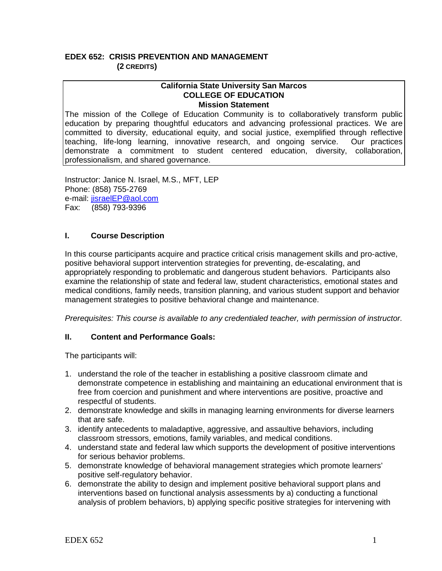## **EDEX 652: CRISIS PREVENTION AND MANAGEMENT (2 CREDITS)**

#### **California State University San Marcos COLLEGE OF EDUCATION Mission Statement**

The mission of the College of Education Community is to collaboratively transform public education by preparing thoughtful educators and advancing professional practices. We are committed to diversity, educational equity, and social justice, exemplified through reflective teaching, life-long learning, innovative research, and ongoing service. Our practices demonstrate a commitment to student centered education, diversity, collaboration, professionalism, and shared governance.

Instructor: Janice N. Israel, M.S., MFT, LEP Phone: (858) 755-2769 e-mail: [jisraelEP@aol.com](mailto:jisraelEP@aol.com) Fax: (858) 793-9396

# **I. Course Description**

In this course participants acquire and practice critical crisis management skills and pro-active, positive behavioral support intervention strategies for preventing, de-escalating, and appropriately responding to problematic and dangerous student behaviors. Participants also examine the relationship of state and federal law, student characteristics, emotional states and medical conditions, family needs, transition planning, and various student support and behavior management strategies to positive behavioral change and maintenance.

*Prerequisites: This course is available to any credentialed teacher, with permission of instructor.*

# **II. Content and Performance Goals:**

The participants will:

- 1. understand the role of the teacher in establishing a positive classroom climate and demonstrate competence in establishing and maintaining an educational environment that is free from coercion and punishment and where interventions are positive, proactive and respectful of students.
- 2. demonstrate knowledge and skills in managing learning environments for diverse learners that are safe.
- 3. identify antecedents to maladaptive, aggressive, and assaultive behaviors, including classroom stressors, emotions, family variables, and medical conditions.
- 4. understand state and federal law which supports the development of positive interventions for serious behavior problems.
- 5. demonstrate knowledge of behavioral management strategies which promote learners' positive self-regulatory behavior.
- 6. demonstrate the ability to design and implement positive behavioral support plans and interventions based on functional analysis assessments by a) conducting a functional analysis of problem behaviors, b) applying specific positive strategies for intervening with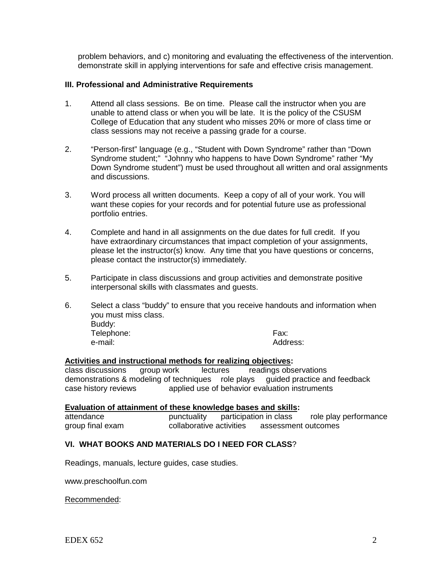problem behaviors, and c) monitoring and evaluating the effectiveness of the intervention. demonstrate skill in applying interventions for safe and effective crisis management.

#### **III. Professional and Administrative Requirements**

- 1. Attend all class sessions. Be on time. Please call the instructor when you are unable to attend class or when you will be late. It is the policy of the CSUSM College of Education that any student who misses 20% or more of class time or class sessions may not receive a passing grade for a course.
- 2. "Person-first" language (e.g., "Student with Down Syndrome" rather than "Down Syndrome student;" "Johnny who happens to have Down Syndrome" rather "My Down Syndrome student") must be used throughout all written and oral assignments and discussions.
- 3. Word process all written documents. Keep a copy of all of your work. You will want these copies for your records and for potential future use as professional portfolio entries.
- 4. Complete and hand in all assignments on the due dates for full credit. If you have extraordinary circumstances that impact completion of your assignments, please let the instructor(s) know. Any time that you have questions or concerns, please contact the instructor(s) immediately.
- 5. Participate in class discussions and group activities and demonstrate positive interpersonal skills with classmates and guests.
- 6. Select a class "buddy" to ensure that you receive handouts and information when you must miss class. Buddy: Telephone: Fax: Address:

# **Activities and instructional methods for realizing objectives:**

lectures readings observations demonstrations & modeling of techniques role plays guided practice and feedback case history reviews applied use of behavior evaluation instruments

# **Evaluation of attainment of these knowledge bases and skills:**<br>attendance punctuality participation in class

attendance punctuality participation in class role play performance group final exam collaborative activities assessment outcomes

### **VI. WHAT BOOKS AND MATERIALS DO I NEED FOR CLASS**?

Readings, manuals, lecture guides, case studies.

www.preschoolfun.com

Recommended: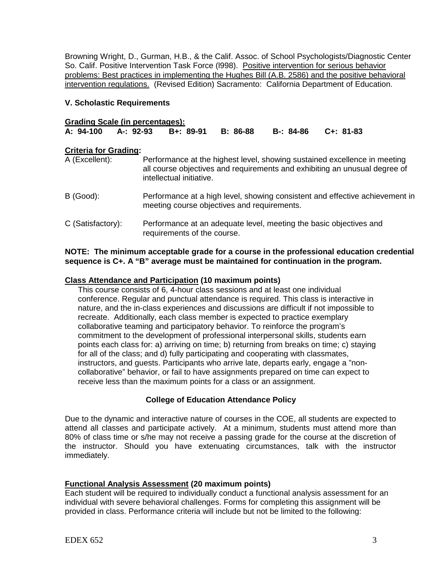Browning Wright, D., Gurman, H.B., & the Calif. Assoc. of School Psychologists/Diagnostic Center So. Calif. Positive Intervention Task Force (l998). Positive intervention for serious behavior problems: Best practices in implementing the Hughes Bill (A.B. 2586) and the positive behavioral intervention regulations. (Revised Edition) Sacramento: California Department of Education.

### **V. Scholastic Requirements**

| <b>Grading Scale (in percentages):</b> |  |                                        |  |           |           |
|----------------------------------------|--|----------------------------------------|--|-----------|-----------|
|                                        |  | A: 94-100 A-: 92-93 B+: 89-91 B: 86-88 |  | B-: 84-86 | C+: 81-83 |

# **Criteria for Grading:**<br>A (Excellent):

- Performance at the highest level, showing sustained excellence in meeting all course objectives and requirements and exhibiting an unusual degree of intellectual initiative.
- B (Good): Performance at a high level, showing consistent and effective achievement in meeting course objectives and requirements.
- C (Satisfactory): Performance at an adequate level, meeting the basic objectives and requirements of the course.

### **NOTE: The minimum acceptable grade for a course in the professional education credential sequence is C+. A "B" average must be maintained for continuation in the program.**

#### **Class Attendance and Participation (10 maximum points)**

This course consists of 6, 4-hour class sessions and at least one individual conference. Regular and punctual attendance is required. This class is interactive in nature, and the in-class experiences and discussions are difficult if not impossible to recreate. Additionally, each class member is expected to practice exemplary collaborative teaming and participatory behavior. To reinforce the program's commitment to the development of professional interpersonal skills, students earn points each class for: a) arriving on time; b) returning from breaks on time; c) staying for all of the class; and d) fully participating and cooperating with classmates, instructors, and guests. Participants who arrive late, departs early, engage a "noncollaborative" behavior, or fail to have assignments prepared on time can expect to receive less than the maximum points for a class or an assignment.

## **College of Education Attendance Policy**

Due to the dynamic and interactive nature of courses in the COE, all students are expected to attend all classes and participate actively. At a minimum, students must attend more than 80% of class time or s/he may not receive a passing grade for the course at the discretion of the instructor. Should you have extenuating circumstances, talk with the instructor immediately.

## **Functional Analysis Assessment (20 maximum points)**

Each student will be required to individually conduct a functional analysis assessment for an individual with severe behavioral challenges. Forms for completing this assignment will be provided in class. Performance criteria will include but not be limited to the following: